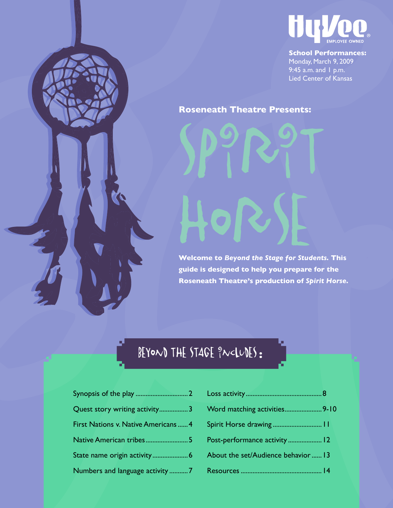

**School Performances:** Monday, March 9, 2009 9:45 a.m. and 1 p.m. Lied Center of Kansas

### **Roseneath Theatre Presents:**

SPPPPT

**Welcome to** *Beyond the Stage for Students***. This <b>Welcome guide is designed to help you prepare for the Roseneath Theatre's production of** *Spirit Horse.* 

## BEYOND THE STAGE  $\frac{9}{1}$ N<LUDES:

| Quest story writing activity3        |  |
|--------------------------------------|--|
| First Nations v. Native Americans  4 |  |
| Native American tribes5              |  |
| State name origin activity 6         |  |
| Numbers and language activity 7      |  |

| Word matching activities 9-10       |  |
|-------------------------------------|--|
| Spirit Horse drawing  11            |  |
| Post-performance activity  12       |  |
| About the set/Audience behavior  13 |  |
|                                     |  |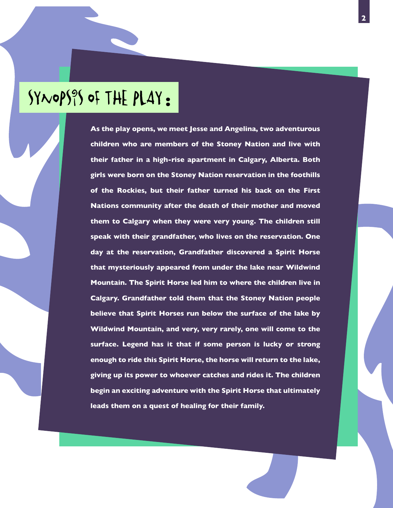# Synopsis of the Play**:**

**As the play opens, we meet Jesse and Angelina, two adventurous children who are members of the Stoney Nation and live with their father in a high-rise apartment in Calgary, Alberta. Both girls were born on the Stoney Nation reservation in the foothills of the Rockies, but their father turned his back on the First Nations community after the death of their mother and moved them to Calgary when they were very young. The children still speak with their grandfather, who lives on the reservation. One day at the reservation, Grandfather discovered a Spirit Horse that mysteriously appeared from under the lake near Wildwind Mountain. The Spirit Horse led him to where the children live in Calgary. Grandfather told them that the Stoney Nation people believe that Spirit Horses run below the surface of the lake by Wildwind Mountain, and very, very rarely, one will come to the surface. Legend has it that if some person is lucky or strong enough to ride this Spirit Horse, the horse will return to the lake, giving up its power to whoever catches and rides it. The children begin an exciting adventure with the Spirit Horse that ultimately leads them on a quest of healing for their family.**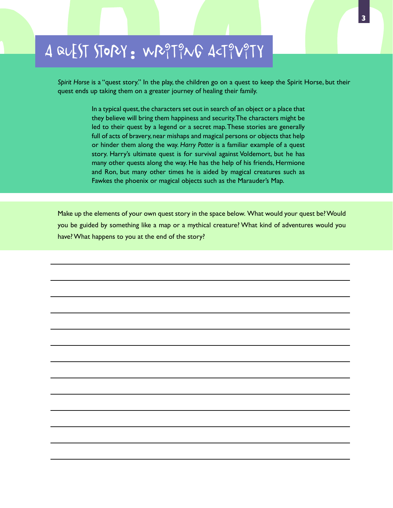# A quest story**:** writing activity

*Spirit Horse* is a "quest story." In the play, the children go on a quest to keep the Spirit Horse, but their quest ends up taking them on a greater journey of healing their family.

> In a typical quest, the characters set out in search of an object or a place that they believe will bring them happiness and security. The characters might be led to their quest by a legend or a secret map. These stories are generally full of acts of bravery, near mishaps and magical persons or objects that help or hinder them along the way. *Harry Potter* is a familiar example of a quest story. Harry's ultimate quest is for survival against Voldemort, but he has many other quests along the way. He has the help of his friends, Hermione and Ron, but many other times he is aided by magical creatures such as Fawkes the phoenix or magical objects such as the Marauder's Map.

Make up the elements of your own quest story in the space below. What would your quest be? Would you be guided by something like a map or a mythical creature? What kind of adventures would you have? What happens to you at the end of the story?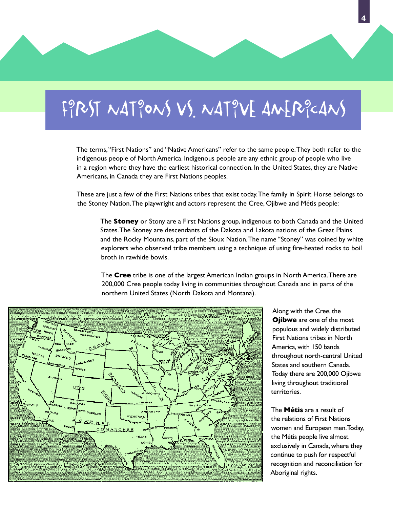# $F_1^9$ RST NAT $_1^9$ ONS VS. NAT $_1^9V$ E AMER $_1^9c$ ANS

The terms, "First Nations" and "Native Americans" refer to the same people. They both refer to the indigenous people of North America. Indigenous people are any ethnic group of people who live in a region where they have the earliest historical connection. In the United States, they are Native Americans, in Canada they are First Nations peoples.

These are just a few of the First Nations tribes that exist today. The family in Spirit Horse belongs to the Stoney Nation. The playwright and actors represent the Cree, Ojibwe and Métis people:

The **Stoney** or Stony are a First Nations group, indigenous to both Canada and the United States. The Stoney are descendants of the Dakota and Lakota nations of the Great Plains and the Rocky Mountains, part of the Sioux Nation. The name "Stoney" was coined by white explorers who observed tribe members using a technique of using fire-heated rocks to boil broth in rawhide bowls.

The **Cree** tribe is one of the largest American Indian groups in North America. There are 200,000 Cree people today living in communities throughout Canada and in parts of the northern United States (North Dakota and Montana).



Along with the Cree, the **Ojibwe** are one of the most populous and widely distributed First Nations tribes in North America, with 150 bands throughout north-central United States and southern Canada. Today there are 200,000 Ojibwe living throughout traditional territories.

The **Métis** are a result of the relations of First Nations women and European men. Today, the Métis people live almost exclusively in Canada, where they continue to push for respectful recognition and reconciliation for Aboriginal rights.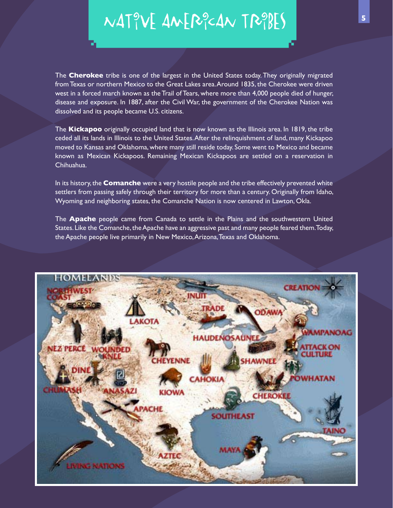Native American Tribes **<sup>5</sup>**

The **Cherokee** tribe is one of the largest in the United States today. They originally migrated from Texas or northern Mexico to the Great Lakes area. Around 1835, the Cherokee were driven west in a forced march known as the Trail of Tears, where more than 4,000 people died of hunger, disease and exposure. In 1887, after the Civil War, the government of the Cherokee Nation was dissolved and its people became U.S. citizens.

The **Kickapoo** originally occupied land that is now known as the Illinois area. In 1819, the tribe ceded all its lands in Illinois to the United States. After the relinquishment of land, many Kickapoo moved to Kansas and Oklahoma, where many still reside today. Some went to Mexico and became known as Mexican Kickapoos. Remaining Mexican Kickapoos are settled on a reservation in Chihuahua.

In its history, the **Comanche** were a very hostile people and the tribe effectively prevented white settlers from passing safely through their territory for more than a century. Originally from Idaho, Wyoming and neighboring states, the Comanche Nation is now centered in Lawton, Okla.

The **Apache** people came from Canada to settle in the Plains and the southwestern United States. Like the Comanche, the Apache have an aggressive past and many people feared them. Today, the Apache people live primarily in New Mexico, Arizona, Texas and Oklahoma.

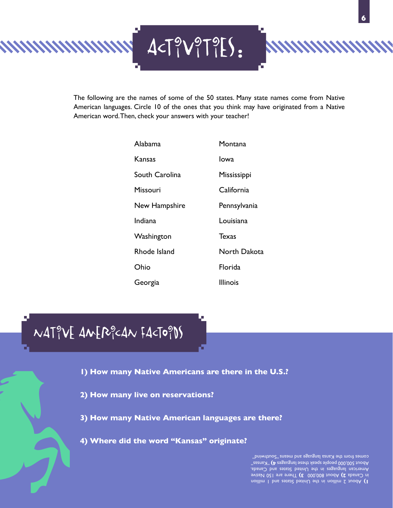

The following are the names of some of the 50 states. Many state names come from Native American languages. Circle 10 of the ones that you think may have originated from a Native American word. Then, check your answers with your teacher!

| Alabama        | Montana         |
|----------------|-----------------|
| Kansas         | Iowa            |
| South Carolina | Mississippi     |
| Missouri       | California      |
| New Hampshire  | Pennsylvania    |
| Indiana        | Louisiana       |
| Washington     | Texas           |
| Rhode Island   | North Dakota    |
| Ohio           | Florida         |
| Georgia        | <b>Illinois</b> |

Native American Factoids

**1) How many Native Americans are there in the U.S.?**

- **2) How many live on reservations?**
- **3) How many Native American languages are there?**
- **4) Where did the word "Kansas" originate?**

About 2 million in the United States and 1 million **1)**  in Canada 2) About 800,000 3) There are 150 Native American languages in the United States and Canada. "zrans)" **(4** zəssuyan besədi xisəqi əlqoəq 000,000 juodA comes from the Kansa language and means "Southwind"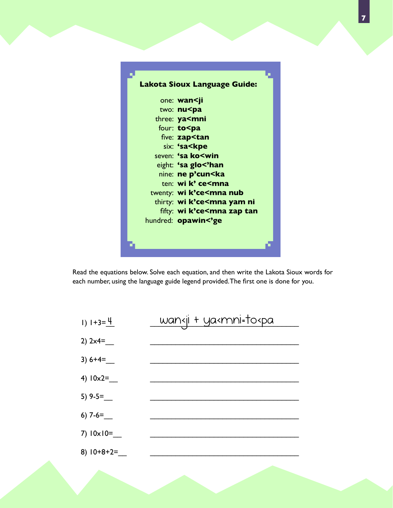

Read the equations below. Solve each equation, and then write the Lakota Sioux words for each number, using the language guide legend provided. The first one is done for you.

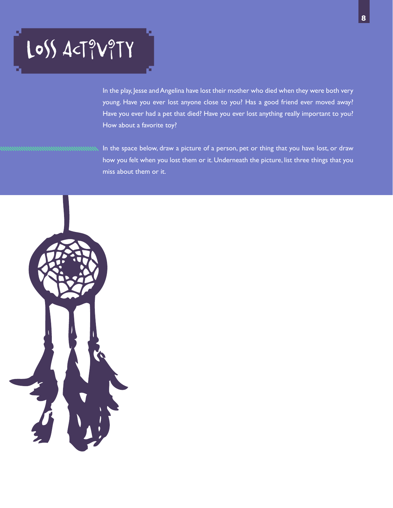# Loss Act?V?TY

In the play, Jesse and Angelina have lost their mother who died when they were both very young. Have you ever lost anyone close to you? Has a good friend ever moved away? Have you ever had a pet that died? Have you ever lost anything really important to you? How about a favorite toy?

In the space below, draw a picture of a person, pet or thing that you have lost, or draw how you felt when you lost them or it. Underneath the picture, list three things that you miss about them or it.

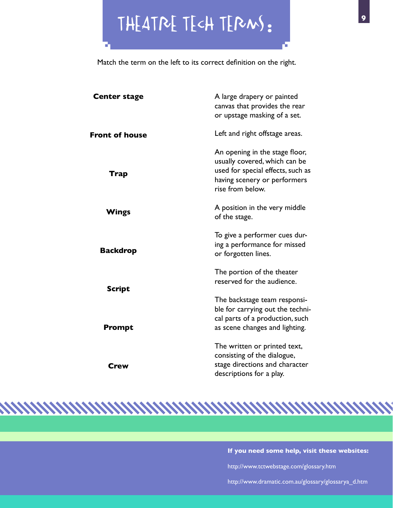Theatre tech terms**:**

Match the term on the left to its correct definition on the right.

| <b>Center stage</b>   | A large drapery or painted<br>canvas that provides the rear<br>or upstage masking of a set.                                                              |
|-----------------------|----------------------------------------------------------------------------------------------------------------------------------------------------------|
| <b>Front of house</b> | Left and right offstage areas.                                                                                                                           |
| Trap                  | An opening in the stage floor,<br>usually covered, which can be<br>used for special effects, such as<br>having scenery or performers<br>rise from below. |
| Wings                 | A position in the very middle<br>of the stage.                                                                                                           |
| <b>Backdrop</b>       | To give a performer cues dur-<br>ing a performance for missed<br>or forgotten lines.                                                                     |
| Script                | The portion of the theater<br>reserved for the audience.                                                                                                 |
| Prompt                | The backstage team responsi-<br>ble for carrying out the techni-<br>cal parts of a production, such<br>as scene changes and lighting.                    |
| Crew                  | The written or printed text,<br>consisting of the dialogue,<br>stage directions and character<br>descriptions for a play.                                |

**If you need some help, visit these websites:** 

http://www.tctwebstage.com/glossary.htm

http://www.dramatic.com.au/glossary/glossarya\_d.htm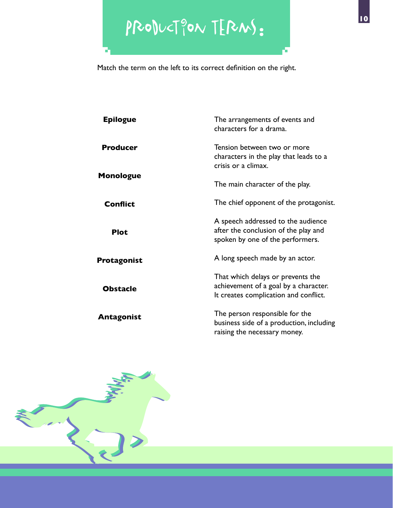# Production terms**:**

Match the term on the left to its correct definition on the right.

| <b>Epilogue</b>  | The arrangements of events and<br>characters for a drama.                                                           |
|------------------|---------------------------------------------------------------------------------------------------------------------|
| <b>Producer</b>  | Tension between two or more<br>characters in the play that leads to a<br>crisis or a climax.                        |
| <b>Monologue</b> | The main character of the play.                                                                                     |
| <b>Conflict</b>  | The chief opponent of the protagonist.                                                                              |
| <b>Plot</b>      | A speech addressed to the audience<br>after the conclusion of the play and<br>spoken by one of the performers.      |
| Protagonist      | A long speech made by an actor.                                                                                     |
| <b>Obstacle</b>  | That which delays or prevents the<br>achievement of a goal by a character.<br>It creates complication and conflict. |
| Antagonist       | The person responsible for the<br>business side of a production, including<br>raising the necessary money.          |

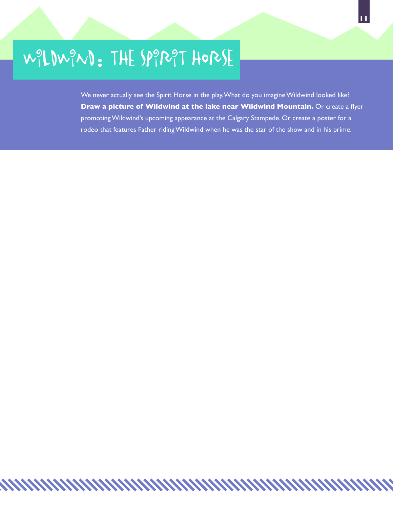# Wildwind**:** The Spirit Horse

We never actually see the Spirit Horse in the play. What do you imagine Wildwind looked like? **Draw a picture of Wildwind at the lake near Wildwind Mountain.** Or create a flyer promoting Wildwind's upcoming appearance at the Calgary Stampede. Or create a poster for a rodeo that features Father riding Wildwind when he was the star of the show and in his prime.

<u>MMMMMMMMMMMMMMMMM</u>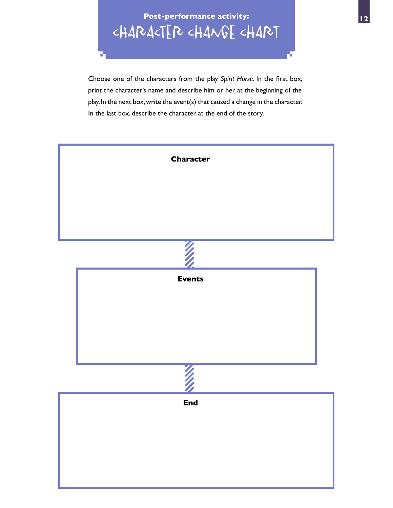**Post-performance activity:** CHARACTER CHANGE CHART

Choose one of the characters from the play *Spirit Horse*. In the first box, print the character's name and describe him or her at the beginning of the play. In the next box, write the event(s) that caused a change in the character. In the last box, describe the character at the end of the story.

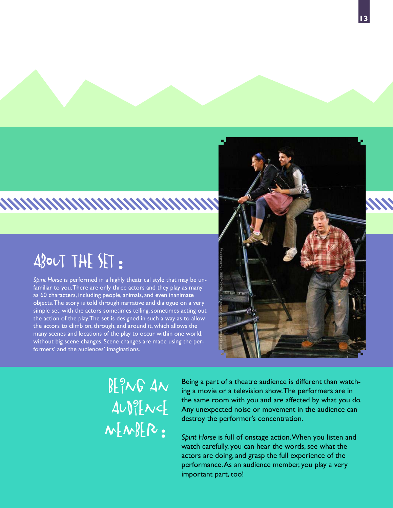# ABOUT THE SET:

*Spirit Horse* is performed in a highly theatrical style that may be unfamiliar to you. There are only three actors and they play as many as 60 characters, including people, animals, and even inanimate objects. The story is told through narrative and dialogue on a very simple set, with the actors sometimes telling, sometimes acting out the action of the play. The set is designed in such a way as to allow the actors to climb on, through, and around it, which allows the many scenes and locations of the play to occur within one world, without big scene changes. Scene changes are made using the performers' and the audiences' imaginations.

# www.www.www

 $BE<sub>1</sub><sup>o</sup>NG$   $Av$  $AUP|$  [ $NC$  $m$ BER:

Being a part of a theatre audience is different than watching a movie or a television show. The performers are in the same room with you and are affected by what you do. Any unexpected noise or movement in the audience can destroy the performer's concentration.

*Spirit Horse* is full of onstage action. When you listen and watch carefully, you can hear the words, see what the actors are doing, and grasp the full experience of the performance. As an audience member, you play a very important part, too!